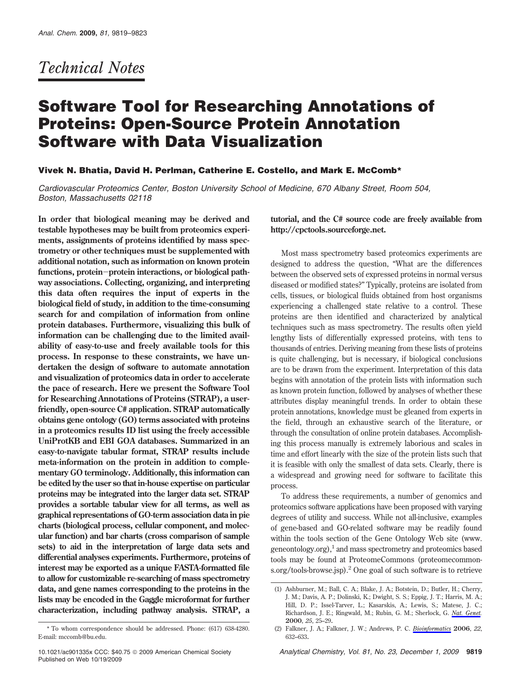# *Technical Notes*

## **Software Tool for Researching Annotations of Proteins: Open-Source Protein Annotation Software with Data Visualization**

### **Vivek N. Bhatia, David H. Perlman, Catherine E. Costello, and Mark E. McComb\***

*Cardiovascular Proteomics Center, Boston University School of Medicine, 670 Albany Street, Room 504, Boston, Massachusetts 02118*

**In order that biological meaning may be derived and testable hypotheses may be built from proteomics experiments, assignments of proteins identified by mass spectrometry or other techniques must be supplemented with additional notation, such as information on known protein functions, protein**-**protein interactions, or biological pathway associations. Collecting, organizing, and interpreting this data often requires the input of experts in the biological field of study, in addition to the time-consuming search for and compilation of information from online protein databases. Furthermore, visualizing this bulk of information can be challenging due to the limited availability of easy-to-use and freely available tools for this process. In response to these constraints, we have undertaken the design of software to automate annotation and visualization of proteomics data in order to accelerate the pace of research. Here we present the Software Tool for Researching Annotations of Proteins (STRAP), a userfriendly, open-source C# application. STRAP automatically obtains gene ontology (GO) terms associated with proteins in a proteomics results ID list using the freely accessible UniProtKB and EBI GOA databases. Summarized in an easy-to-navigate tabular format, STRAP results include meta-information on the protein in addition to complementary GO terminology. Additionally, this information can be edited by the user so that in-house expertise on particular proteins may be integrated into the larger data set. STRAP provides a sortable tabular view for all terms, as well as graphical representations of GO-term association data in pie charts (biological process, cellular component, and molecular function) and bar charts (cross comparison of sample sets) to aid in the interpretation of large data sets and differential analyses experiments. Furthermore, proteins of interest may be exported as a unique FASTA-formatted file to allow for customizable re-searching of mass spectrometry data, and gene names corresponding to the proteins in the lists may be encoded in the Gaggle microformat for further characterization, including pathway analysis. STRAP, a**

## **tutorial, and the C# source code are freely available from http://cpctools.sourceforge.net.**

Most mass spectrometry based proteomics experiments are designed to address the question, "What are the differences between the observed sets of expressed proteins in normal versus diseased or modified states?" Typically, proteins are isolated from cells, tissues, or biological fluids obtained from host organisms experiencing a challenged state relative to a control. These proteins are then identified and characterized by analytical techniques such as mass spectrometry. The results often yield lengthy lists of differentially expressed proteins, with tens to thousands of entries. Deriving meaning from these lists of proteins is quite challenging, but is necessary, if biological conclusions are to be drawn from the experiment. Interpretation of this data begins with annotation of the protein lists with information such as known protein function, followed by analyses of whether these attributes display meaningful trends. In order to obtain these protein annotations, knowledge must be gleaned from experts in the field, through an exhaustive search of the literature, or through the consultation of online protein databases. Accomplishing this process manually is extremely laborious and scales in time and effort linearly with the size of the protein lists such that it is feasible with only the smallest of data sets. Clearly, there is a widespread and growing need for software to facilitate this process.

To address these requirements, a number of genomics and proteomics software applications have been proposed with varying degrees of utility and success. While not all-inclusive, examples of gene-based and GO-related software may be readily found within the tools section of the Gene Ontology Web site (www. geneontology.org), $\frac{1}{2}$  and mass spectrometry and proteomics based tools may be found at ProteomeCommons (proteomecommons.org/tools-browse.jsp).<sup>2</sup> One goal of such software is to retrieve

10.1021/ac901335x CCC: \$40.75 2009 American Chemical Society *Analytical Chemistry, Vol. 81, No. 23, December 1, 2009* **9819**

<sup>\*</sup> To whom correspondence should be addressed. Phone: (617) 638-4280. E-mail: mccomb@bu.edu.

<sup>(1)</sup> Ashburner, M.; Ball, C. A.; Blake, J. A.; Botstein, D.; Butler, H.; Cherry, J. M.; Davis, A. P.; Dolinski, K.; Dwight, S. S.; Eppig, J. T.; Harris, M. A.; Hill, D. P.; Issel-Tarver, L.; Kasarskis, A.; Lewis, S.; Matese, J. C.; Richardson, J. E.; Ringwald, M.; Rubin, G. M.; Sherlock, G. *Nat. Genet.* **2000**, *25*, 25–29.

<sup>(2)</sup> Falkner, J. A.; Falkner, J. W.; Andrews, P. C. *Bioinformatics* **2006**, *22*, 632–633.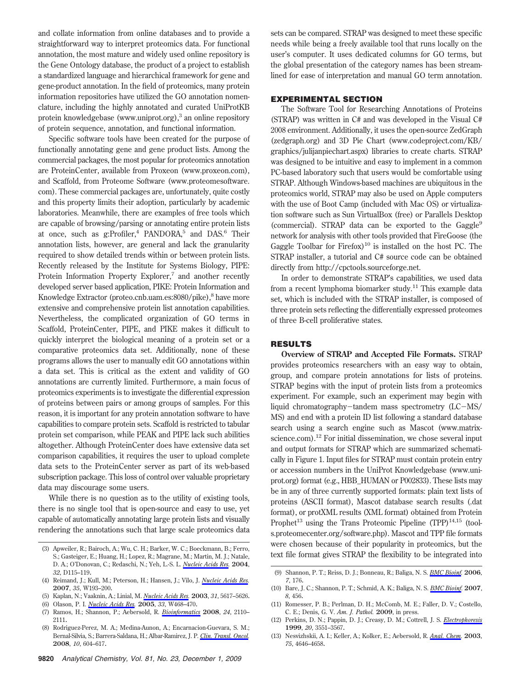and collate information from online databases and to provide a straightforward way to interpret proteomics data. For functional annotation, the most mature and widely used online repository is the Gene Ontology database, the product of a project to establish a standardized language and hierarchical framework for gene and gene-product annotation. In the field of proteomics, many protein information repositories have utilized the GO annotation nomenclature, including the highly annotated and curated UniProtKB protein knowledgebase (www.uniprot.org), $3$  an online repository of protein sequence, annotation, and functional information.

Specific software tools have been created for the purpose of functionally annotating gene and gene product lists. Among the commercial packages, the most popular for proteomics annotation are ProteinCenter, available from Proxeon (www.proxeon.com), and Scaffold, from Proteome Software (www.proteomesoftware. com). These commercial packages are, unfortunately, quite costly and this property limits their adoption, particularly by academic laboratories. Meanwhile, there are examples of free tools which are capable of browsing/parsing or annotating entire protein lists at once, such as g:Profiler,<sup>4</sup> PANDORA,<sup>5</sup> and DAS.<sup>6</sup> Their annotation lists, however, are general and lack the granularity required to show detailed trends within or between protein lists. Recently released by the Institute for Systems Biology, PIPE: Protein Information Property Explorer, $7$  and another recently developed server based application, PIKE: Protein Information and Knowledge Extractor (proteo.cnb.uam.es:8080/pike),<sup>8</sup> have more extensive and comprehensive protein list annotation capabilities. Nevertheless, the complicated organization of GO terms in Scaffold, ProteinCenter, PIPE, and PIKE makes it difficult to quickly interpret the biological meaning of a protein set or a comparative proteomics data set. Additionally, none of these programs allows the user to manually edit GO annotations within a data set. This is critical as the extent and validity of GO annotations are currently limited. Furthermore, a main focus of proteomics experiments is to investigate the differential expression of proteins between pairs or among groups of samples. For this reason, it is important for any protein annotation software to have capabilities to compare protein sets. Scaffold is restricted to tabular protein set comparison, while PEAK and PIPE lack such abilities altogether. Although ProteinCenter does have extensive data set comparison capabilities, it requires the user to upload complete data sets to the ProteinCenter server as part of its web-based subscription package. This loss of control over valuable proprietary data may discourage some users.

While there is no question as to the utility of existing tools, there is no single tool that is open-source and easy to use, yet capable of automatically annotating large protein lists and visually rendering the annotations such that large scale proteomics data

(7) Ramos, H.; Shannon, P.; Aebersold, R. *Bioinformatics* **2008**, *24*, 2110– 2111.

sets can be compared. STRAP was designed to meet these specific needs while being a freely available tool that runs locally on the user's computer. It uses dedicated columns for GO terms, but the global presentation of the category names has been streamlined for ease of interpretation and manual GO term annotation.

### **EXPERIMENTAL SECTION**

The Software Tool for Researching Annotations of Proteins (STRAP) was written in C# and was developed in the Visual C# 2008 environment. Additionally, it uses the open-source ZedGraph (zedgraph.org) and 3D Pie Chart (www.codeproject.com/KB/ graphics/julijanpiechart.aspx) libraries to create charts. STRAP was designed to be intuitive and easy to implement in a common PC-based laboratory such that users would be comfortable using STRAP. Although Windows-based machines are ubiquitous in the proteomics world, STRAP may also be used on Apple computers with the use of Boot Camp (included with Mac OS) or virtualization software such as Sun VirtualBox (free) or Parallels Desktop (commercial). STRAP data can be exported to the Gaggle<sup>9</sup> network for analysis with other tools provided that FireGoose (the Gaggle Toolbar for Firefox)<sup>10</sup> is installed on the host PC. The STRAP installer, a tutorial and C# source code can be obtained directly from http://cpctools.sourceforge.net.

In order to demonstrate STRAP's capabilities, we used data from a recent lymphoma biomarker study.<sup>11</sup> This example data set, which is included with the STRAP installer, is composed of three protein sets reflecting the differentially expressed proteomes of three B-cell proliferative states.

### **RESULTS**

**Overview of STRAP and Accepted File Formats.** STRAP provides proteomics researchers with an easy way to obtain, group, and compare protein annotations for lists of proteins. STRAP begins with the input of protein lists from a proteomics experiment. For example, such an experiment may begin with liquid chromatography-tandem mass spectrometry (LC-MS/ MS) and end with a protein ID list following a standard database search using a search engine such as Mascot (www.matrixscience.com).<sup>12</sup> For initial dissemination, we chose several input and output formats for STRAP which are summarized schematically in Figure 1. Input files for STRAP must contain protein entry or accession numbers in the UniProt Knowledgebase (www.uniprot.org) format (e.g., HBB\_HUMAN or P002833). These lists may be in any of three currently supported formats: plain text lists of proteins (ASCII format), Mascot database search results (.dat format), or protXML results (XML format) obtained from Protein Prophet<sup>13</sup> using the Trans Proteomic Pipeline (TPP)<sup>14,15</sup> (tools.proteomecenter.org/software.php). Mascot and TPP file formats were chosen because of their popularity in proteomics, but the (3) Apweiler, R.; Bairoch, A.; Wu, C. H.; Barker, W. C.; Boeckmann, B.; Ferro,<br>
S.; Gasteiger, E.; Huang, H.; Lopez, R.; Magrane, M.; Martin, M. J.; Natale, text file format gives STRAP the flexibility to be integrated int

S.; Gasteiger, E.; Huang, H.; Lopez, R.; Magrane, M.; Martin, M. J.; Natale, D. A.; O'Donovan, C.; Redaschi, N.; Yeh, L.-S. L. *Nucleic Acids Res.* **2004**, *32*, D115–119.

<sup>(4)</sup> Reimand, J.; Kull, M.; Peterson, H.; Hansen, J.; Vilo, J. *Nucleic Acids Res.* **2007**, *35*, W193–200.

<sup>(5)</sup> Kaplan, N.; Vaaknin, A.; Linial, M. *Nucleic Acids Res.* **2003**, *31*, 5617–5626.

<sup>(6)</sup> Olason, P. I. *Nucleic Acids Res.* **2005**, *33*, W468–470.

<sup>(8)</sup> Rodriguez-Perez, M. A.; Medina-Aunon, A.; Encarnacion-Guevara, S. M.; Bernal-Silvia, S.; Barrera-Saldana, H.; Albar-Ramirez, J. P. *Clin. Transl. Oncol.* **2008**, *10*, 604–617.

<sup>(9)</sup> Shannon, P. T.; Reiss, D. J.; Bonneau, R.; Baliga, N. S. *BMC Bioinf.* **2006**, *7*, 176.

<sup>(10)</sup> Bare, J. C.; Shannon, P. T.; Schmid, A. K.; Baliga, N. S. *BMC Bioinf.* **2007**, *8*, 456.

<sup>(11)</sup> Romesser, P. B.; Perlman, D. H.; McComb, M. E.; Faller, D. V.; Costello, C. E.; Denis, G. V. *Am. J. Pathol.* **2009**, in press.

<sup>(12)</sup> Perkins, D. N.; Pappin, D. J.; Creasy, D. M.; Cottrell, J. S. *Electrophoresis* **1999**, *20*, 3551–3567.

<sup>(13)</sup> Nesvizhskii, A. I.; Keller, A.; Kolker, E.; Aebersold, R. *Anal. Chem.* **2003**, *75*, 4646–4658.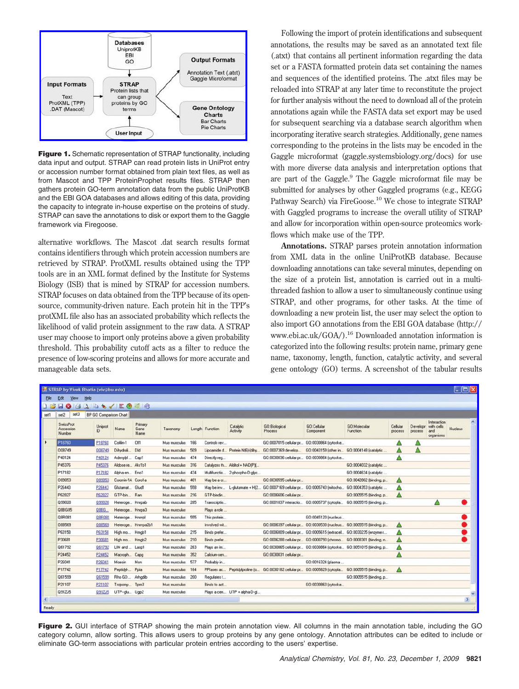

**Figure 1.** Schematic representation of STRAP functionality, including data input and output. STRAP can read protein lists in UniProt entry or accession number format obtained from plain text files, as well as from Mascot and TPP ProteinProphet results files. STRAP then gathers protein GO-term annotation data from the public UniProtKB and the EBI GOA databases and allows editing of this data, providing the capacity to integrate in-house expertise on the proteins of study. STRAP can save the annotations to disk or export them to the Gaggle framework via Firegoose.

alternative workflows. The Mascot .dat search results format contains identifiers through which protein accession numbers are retrieved by STRAP. ProtXML results obtained using the TPP tools are in an XML format defined by the Institute for Systems Biology (ISB) that is mined by STRAP for accession numbers. STRAP focuses on data obtained from the TPP because of its opensource, community-driven nature. Each protein hit in the TPP's protXML file also has an associated probability which reflects the likelihood of valid protein assignment to the raw data. A STRAP user may choose to import only proteins above a given probability threshold. This probability cutoff acts as a filter to reduce the presence of low-scoring proteins and allows for more accurate and manageable data sets.

Following the import of protein identifications and subsequent annotations, the results may be saved as an annotated text file (.atxt) that contains all pertinent information regarding the data set or a FASTA formatted protein data set containing the names and sequences of the identified proteins. The .atxt files may be reloaded into STRAP at any later time to reconstitute the project for further analysis without the need to download all of the protein annotations again while the FASTA data set export may be used for subsequent searching via a database search algorithm when incorporating iterative search strategies. Additionally, gene names corresponding to the proteins in the lists may be encoded in the Gaggle microformat (gaggle.systemsbiology.org/docs) for use with more diverse data analysis and interpretation options that are part of the Gaggle.<sup>9</sup> The Gaggle microformat file may be submitted for analyses by other Gaggled programs (e.g., KEGG Pathway Search) via FireGoose.<sup>10</sup> We chose to integrate STRAP with Gaggled programs to increase the overall utility of STRAP and allow for incorporation within open-source proteomics workflows which make use of the TPP.

**Annotations.** STRAP parses protein annotation information from XML data in the online UniProtKB database. Because downloading annotations can take several minutes, depending on the size of a protein list, annotation is carried out in a multithreaded fashion to allow a user to simultaneously continue using STRAP, and other programs, for other tasks. At the time of downloading a new protein list, the user may select the option to also import GO annotations from the EBI GOA database (http:// www.ebi.ac.uk/GOA/).<sup>16</sup> Downloaded annotation information is categorized into the following results: protein name, primary gene name, taxonomy, length, function, catalytic activity, and several gene ontology (GO) terms. A screenshot of the tabular results

| STRAP by Vivek Bhatia (viv@bu.edu)<br>$\Box$ dix |                                         |               |                   |                         |                  |     |                 |                                 |                                                                                    |                          |                                                                                                 |                     |                     |                                               |         |                  |
|--------------------------------------------------|-----------------------------------------|---------------|-------------------|-------------------------|------------------|-----|-----------------|---------------------------------|------------------------------------------------------------------------------------|--------------------------|-------------------------------------------------------------------------------------------------|---------------------|---------------------|-----------------------------------------------|---------|------------------|
| Help<br>Ele<br>Edit<br>View                      |                                         |               |                   |                         |                  |     |                 |                                 |                                                                                    |                          |                                                                                                 |                     |                     |                                               |         |                  |
| <b>GAR YEOGR</b><br><b>HO</b><br>ℶ               |                                         |               |                   |                         |                  |     |                 |                                 |                                                                                    |                          |                                                                                                 |                     |                     |                                               |         |                  |
| set1                                             | set3<br>set2<br>BP GO Comparison Chart  |               |                   |                         |                  |     |                 |                                 |                                                                                    |                          |                                                                                                 |                     |                     |                                               |         |                  |
|                                                  | <b>SwissProt</b><br>Accession<br>Number | Uniprot<br>ID | Name              | Primary<br>Gene<br>Name | Taxonomy         |     | Length Function | Catalytic<br>Activity           | GO:Biological<br>Process                                                           | GO:Cellular<br>Component | GO:Molecular<br>Function                                                                        | Cellular<br>process | Developr<br>process | Interaction<br>with cells<br>and<br>organisms | Nucleus | ×                |
| ь                                                | P18760                                  | P18760        | Colin-1           | Cil1                    | Mus musculus     | 166 | Controls rev    |                                 | GO:0007015 cellular pr                                                             | GO:0030864 (cytoske      |                                                                                                 |                     | Δ                   |                                               |         |                  |
|                                                  | 008749                                  | 008749        | Dihudroli         | Dld                     | Mus musculus     | 509 |                 | Lipoamide d., Protein N(6)-(dhy | GO:0007369 develop                                                                 |                          | GO:0043159 (other in GO:0004148 (catalytic                                                      |                     | Δ                   |                                               |         |                  |
|                                                  | P40124                                  | P40124        | Adenylyl          | Cap1                    | Mus musculus     | 474 | Directly req    |                                 | GO:0030036 cellular pr GO:0030864 (cytoske                                         |                          |                                                                                                 |                     |                     |                                               |         |                  |
|                                                  | P45376                                  | P45376        | Aldose re Akr1b1  |                         | Mus musculus 316 |     |                 | Catalyzes th Alditol + NAD(P)[  |                                                                                    |                          | GO:0004032 (catalytic                                                                           |                     |                     |                                               |         |                  |
|                                                  | P17182                                  | P17182        | Alpha-en., Eno1   |                         | Mus musculus     | 434 |                 | Multifunctio 2-phospho-D-glyc   |                                                                                    |                          | GO:0004634 (catalytic                                                                           |                     |                     |                                               |         |                  |
|                                                  | 089053                                  | 089053        | Coronin-1A Coro1a |                         | Mus musculus     | 461 | May be a cr     |                                 | GO:0030595 cellular pr                                                             |                          | GO:0042802 (binding, p                                                                          | Δ                   |                     |                                               |         |                  |
|                                                  | P26443                                  | P26443        | Glutamat Glud1    |                         | Mus musculus     | 558 | May be inv      |                                 | L-glutamate + H(2 GO:0007169 cellular pr GO:0005743 (mitocho GO:0004353 (catalytic |                          |                                                                                                 |                     |                     |                                               |         |                  |
|                                                  | P62827                                  | P62827        | GTP-bin Ran       |                         | Mus musculus 216 |     | GTP-bindin      |                                 | GO:0006606 cellular pr                                                             |                          | GO:0005515 (binding, p                                                                          | Δ                   |                     |                                               |         |                  |
|                                                  | 099020                                  | 039020        | Heteroge Hnrpab   |                         | Mus musculus     | 285 | Transcriptio    |                                 |                                                                                    |                          | GO:0001837 interactio GO:0005737 (cytopla GO:0005515 (binding, p                                |                     |                     |                                               |         |                  |
|                                                  | Q8BG05                                  | Q88G.         | Heteroge Hnrpa3   |                         | Mus musculus     |     | Plays a role    |                                 |                                                                                    |                          |                                                                                                 |                     |                     |                                               |         |                  |
|                                                  | Q8R081                                  | Q8R081        | Heteroge Hnmpl    |                         | Mus musculus     | 555 | This protein    |                                 |                                                                                    | GO:0045120 (nucleus      |                                                                                                 |                     |                     |                                               | ٠       |                  |
|                                                  | 088569                                  | Q88569        |                   | Heteroge Hnmpa2b1       | Mus musculus     |     | Involved wit    |                                 |                                                                                    |                          | GO:0006397 cellular pr GO:0030530 (nucleus GO:0005515 (binding, p                               | Δ                   |                     |                                               | ۰       |                  |
|                                                  | P63158                                  | P63158        | High mo           | Hmgb1                   | Mus musculus     | 215 | Binds prefer    |                                 |                                                                                    |                          | GO:0006809 cellular pr GO:0005615 (extrace) GO:0030235 (enzyme r                                |                     |                     |                                               | ۰       |                  |
|                                                  | P30681                                  | P30681        | High mo           | Hmgb2                   | Mus musculus 210 |     | Binds prefer    |                                 |                                                                                    |                          | GO:0006288 cellular pr GO:0000793 (chromo GO:0008301 (binding. n                                |                     |                     |                                               |         |                  |
|                                                  | 061792                                  | 061792        | LIM and           | Lasp1                   | Mus musculus     | 263 | Plays an im     |                                 |                                                                                    |                          | GO:0030865 cellular pr GO:0030864 (cytoske GO:0051015 (binding, p                               |                     |                     |                                               |         |                  |
|                                                  | P24452                                  | P24452        | Macroph           | Capg                    | Mus musculus     | 352 | Calcium-sen     |                                 | GO:0030031 cellular pr                                                             |                          |                                                                                                 |                     |                     |                                               |         |                  |
|                                                  | P26041                                  | P26041        | Moesin            | Msn                     | Mus musculus 577 |     | Probably in     |                                 |                                                                                    | GO:0016324 (plasma       |                                                                                                 |                     |                     |                                               |         |                  |
|                                                  | P17742                                  | P17742        | Peptidyl-         | Ppia                    | Mus musculus 164 |     |                 |                                 |                                                                                    |                          | PPlases ac Peptidylproline (o GO:0030182 cellular pr GO:0005829 (cytopla GO:0005515 (binding, p |                     |                     |                                               |         |                  |
|                                                  | 061599                                  | 061599        | Rho GD            | Arhgdib                 | Mus musculus 200 |     | Regulates t     |                                 |                                                                                    |                          | GO:0005515 (binding, p                                                                          |                     |                     |                                               |         |                  |
|                                                  | P21107                                  | P21107        | Tropomy           | Tpm3                    | Mus musculus     |     | Binds to act    |                                 |                                                                                    | GO:0030863 (cytoske      |                                                                                                 |                     |                     |                                               |         |                  |
|                                                  | Q91ZJ5                                  | 0912.15       | UTP-glu Ugp2      |                         | Mus musculus     |     |                 | Plays a cen UTP + alpha-D-gl    |                                                                                    |                          |                                                                                                 |                     |                     |                                               |         |                  |
| $\leq$                                           |                                         |               |                   |                         |                  |     |                 |                                 |                                                                                    |                          |                                                                                                 |                     |                     |                                               |         | $\sum_{i=1}^{n}$ |
| Ready                                            |                                         |               |                   |                         |                  |     |                 |                                 |                                                                                    |                          |                                                                                                 |                     |                     |                                               |         |                  |

Figure 2. GUI interface of STRAP showing the main protein annotation view. All columns in the main annotation table, including the GO category column, allow sorting. This allows users to group proteins by any gene ontology. Annotation attributes can be edited to include or eliminate GO-term associations with particular protein entries according to the users' expertise.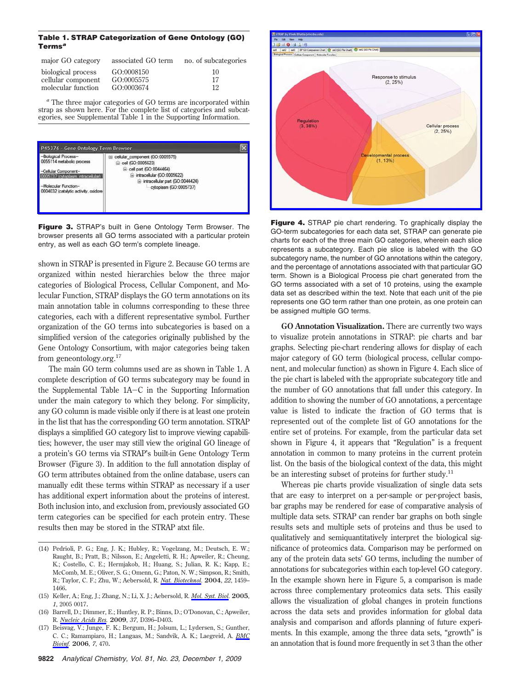#### **Table 1. STRAP Categorization of Gene Ontology (GO) Terms***<sup>a</sup>*

| major GO category  | associated GO term | no. of subcategories |
|--------------------|--------------------|----------------------|
| biological process | GO:0008150         | 10                   |
| cellular component | GO:0005575         | 17                   |
| molecular function | GO:0003674         | 12                   |

*<sup>a</sup>* The three major categories of GO terms are incorporated within strap as shown here. For the complete list of categories and subcategories, see Supplemental Table 1 in the Supporting Information.



**Figure 3.** STRAP's built in Gene Ontology Term Browser. The browser presents all GO terms associated with a particular protein entry, as well as each GO term's complete lineage.

shown in STRAP is presented in Figure 2. Because GO terms are organized within nested hierarchies below the three major categories of Biological Process, Cellular Component, and Molecular Function, STRAP displays the GO term annotations on its main annotation table in columns corresponding to these three categories, each with a different representative symbol. Further organization of the GO terms into subcategories is based on a simplified version of the categories originally published by the Gene Ontology Consortium, with major categories being taken from geneontology.org.<sup>17</sup>

The main GO term columns used are as shown in Table 1. A complete description of GO terms subcategory may be found in the Supplemental Table 1A-C in the Supporting Information under the main category to which they belong. For simplicity, any GO column is made visible only if there is at least one protein in the list that has the corresponding GO term annotation. STRAP displays a simplified GO category list to improve viewing capabilities; however, the user may still view the original GO lineage of a protein's GO terms via STRAP's built-in Gene Ontology Term Browser (Figure 3). In addition to the full annotation display of GO term attributes obtained from the online database, users can manually edit these terms within STRAP as necessary if a user has additional expert information about the proteins of interest. Both inclusion into, and exclusion from, previously associated GO term categories can be specified for each protein entry. These results then may be stored in the STRAP atxt file.



**Figure 4.** STRAP pie chart rendering. To graphically display the GO-term subcategories for each data set, STRAP can generate pie charts for each of the three main GO categories, wherein each slice represents a subcategory. Each pie slice is labeled with the GO subcategory name, the number of GO annotations within the category, and the percentage of annotations associated with that particular GO term. Shown is a Biological Process pie chart generated from the GO terms associated with a set of 10 proteins, using the example data set as described within the text. Note that each unit of the pie represents one GO term rather than one protein, as one protein can be assigned multiple GO terms.

**GO Annotation Visualization.** There are currently two ways to visualize protein annotations in STRAP: pie charts and bar graphs. Selecting pie-chart rendering allows for display of each major category of GO term (biological process, cellular component, and molecular function) as shown in Figure 4. Each slice of the pie chart is labeled with the appropriate subcategory title and the number of GO annotations that fall under this category. In addition to showing the number of GO annotations, a percentage value is listed to indicate the fraction of GO terms that is represented out of the complete list of GO annotations for the entire set of proteins. For example, from the particular data set shown in Figure 4, it appears that "Regulation" is a frequent annotation in common to many proteins in the current protein list. On the basis of the biological context of the data, this might be an interesting subset of proteins for further study.<sup>11</sup>

Whereas pie charts provide visualization of single data sets that are easy to interpret on a per-sample or per-project basis, bar graphs may be rendered for ease of comparative analysis of multiple data sets. STRAP can render bar graphs on both single results sets and multiple sets of proteins and thus be used to qualitatively and semiquantitatively interpret the biological significance of proteomics data. Comparison may be performed on any of the protein data sets' GO terms, including the number of annotations for subcategories within each top-level GO category. In the example shown here in Figure 5, a comparison is made across three complementary proteomics data sets. This easily allows the visualization of global changes in protein functions across the data sets and provides information for global data analysis and comparison and affords planning of future experiments. In this example, among the three data sets, "growth" is an annotation that is found more frequently in set 3 than the other

<sup>(14)</sup> Pedrioli, P. G.; Eng, J. K.; Hubley, R.; Vogelzang, M.; Deutsch, E. W.; Raught, B.; Pratt, B.; Nilsson, E.; Angeletti, R. H.; Apweiler, R.; Cheung, K.; Costello, C. E.; Hermjakob, H.; Huang, S.; Julian, R. K.; Kapp, E.; McComb, M. E.; Oliver, S. G.; Omenn, G.; Paton, N. W.; Simpson, R.; Smith, R.; Taylor, C. F.; Zhu, W.; Aebersold, R. *Nat. Biotechnol.* **2004**, *22*, 1459– 1466.

<sup>(15)</sup> Keller, A.; Eng, J.; Zhang, N.; Li, X. J.; Aebersold, R. *Mol. Syst. Biol.* **2005**, *1*, 2005 0017.

<sup>(16)</sup> Barrell, D.; Dimmer, E.; Huntley, R. P.; Binns, D.; O'Donovan, C.; Apweiler, R. *Nucleic Acids Res.* **2009**, *37*, D396–D403.

<sup>(17)</sup> Beisvag, V.; Junge, F. K.; Bergum, H.; Jolsum, L.; Lydersen, S.; Gunther, C. C.; Ramampiaro, H.; Langaas, M.; Sandvik, A. K.; Laegreid, A. *BMC Bioinf.* **2006**, *7*, 470.